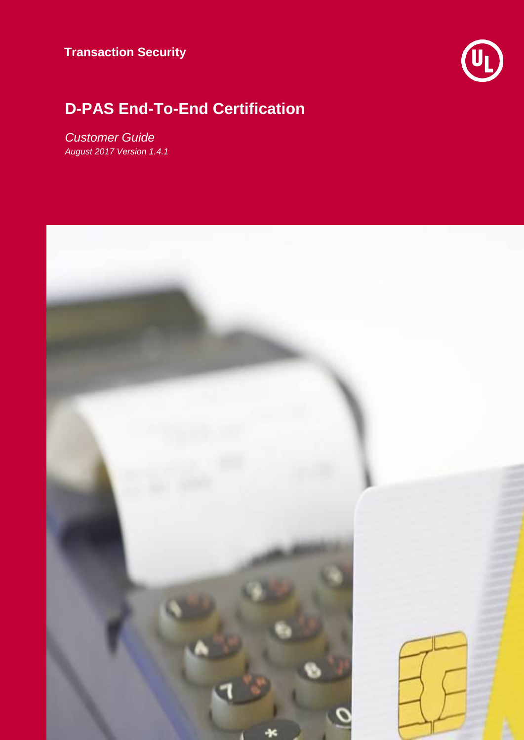

## **D-PAS End-To-End Certification**

*Customer Guide August 2017 Version 1.4.1*

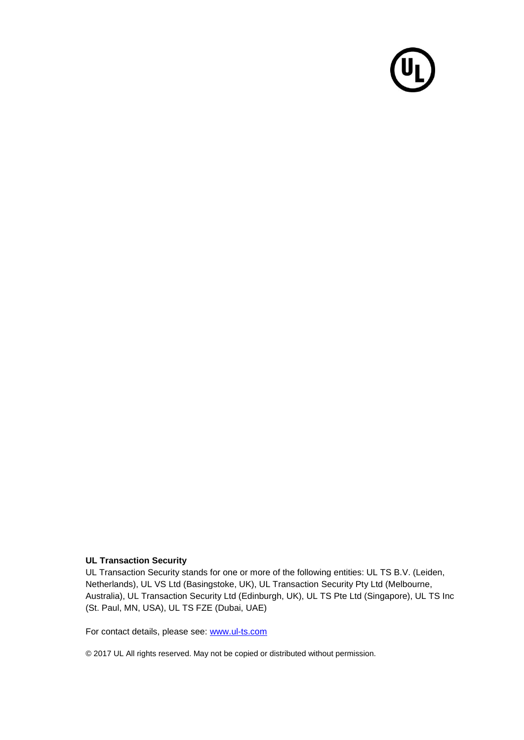

#### **UL Transaction Security**

UL Transaction Security stands for one or more of the following entities: UL TS B.V. (Leiden, Netherlands), UL VS Ltd (Basingstoke, UK), UL Transaction Security Pty Ltd (Melbourne, Australia), UL Transaction Security Ltd (Edinburgh, UK), UL TS Pte Ltd (Singapore), UL TS Inc (St. Paul, MN, USA), UL TS FZE (Dubai, UAE)

For contact details, please see: [www.ul-ts.com](http://www.ul-ts.com/)

© 2017 UL All rights reserved. May not be copied or distributed without permission.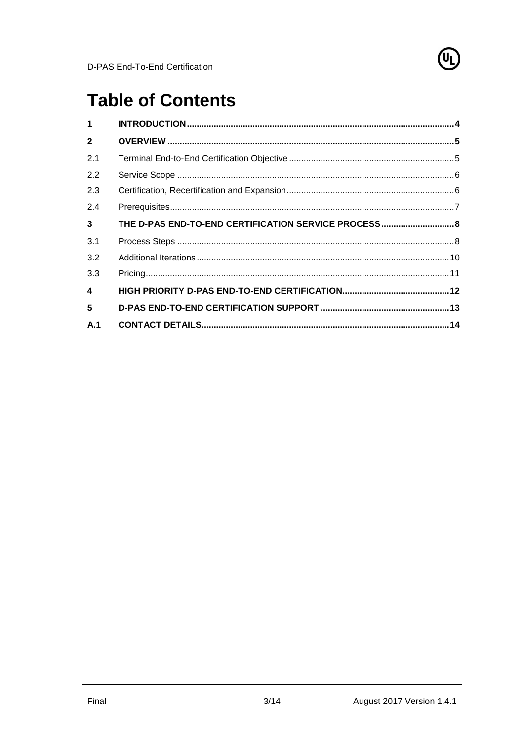

# **Table of Contents**

| $\mathbf{1}$            |                                                      |  |
|-------------------------|------------------------------------------------------|--|
| $\mathbf{2}$            |                                                      |  |
| 2.1                     |                                                      |  |
| 2.2                     |                                                      |  |
| 2.3                     |                                                      |  |
| 2.4                     |                                                      |  |
| $\mathbf{3}$            | THE D-PAS END-TO-END CERTIFICATION SERVICE PROCESS 8 |  |
| 3.1                     |                                                      |  |
| 3.2                     |                                                      |  |
| 3.3                     |                                                      |  |
| $\overline{\mathbf{4}}$ |                                                      |  |
| 5                       |                                                      |  |
| A.1                     |                                                      |  |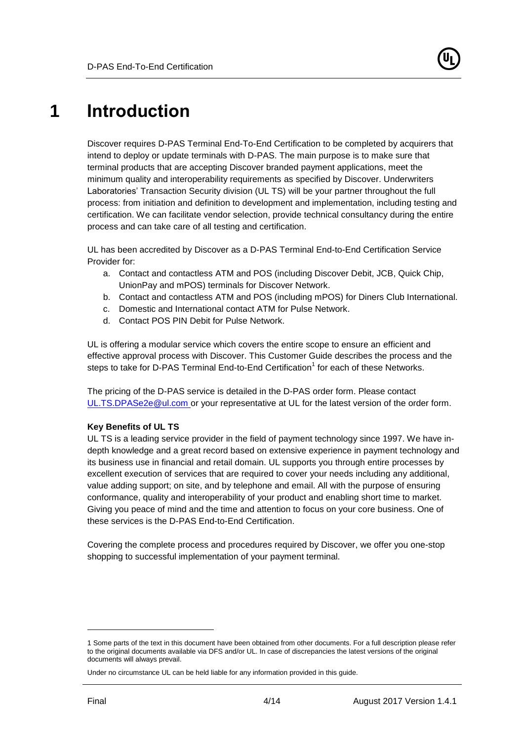# <span id="page-3-0"></span>**1 Introduction**

Discover requires D-PAS Terminal End-To-End Certification to be completed by acquirers that intend to deploy or update terminals with D-PAS. The main purpose is to make sure that terminal products that are accepting Discover branded payment applications, meet the minimum quality and interoperability requirements as specified by Discover. Underwriters Laboratories' Transaction Security division (UL TS) will be your partner throughout the full process: from initiation and definition to development and implementation, including testing and certification. We can facilitate vendor selection, provide technical consultancy during the entire process and can take care of all testing and certification.

UL has been accredited by Discover as a D-PAS Terminal End-to-End Certification Service Provider for:

- a. Contact and contactless ATM and POS (including Discover Debit, JCB, Quick Chip, UnionPay and mPOS) terminals for Discover Network.
- b. Contact and contactless ATM and POS (including mPOS) for Diners Club International.
- c. Domestic and International contact ATM for Pulse Network.
- d. Contact POS PIN Debit for Pulse Network.

UL is offering a modular service which covers the entire scope to ensure an efficient and effective approval process with Discover. This Customer Guide describes the process and the steps to take for D-PAS Terminal End-to-End Certification<sup>1</sup> for each of these Networks.

The pricing of the D-PAS service is detailed in the D-PAS order form. Please contact [UL.TS.DPASe2e@ul.com](mailto:UL.TS.DPASe2e@ul.com) or your representative at UL for the latest version of the order form.

#### **Key Benefits of UL TS**

UL TS is a leading service provider in the field of payment technology since 1997. We have indepth knowledge and a great record based on extensive experience in payment technology and its business use in financial and retail domain. UL supports you through entire processes by excellent execution of services that are required to cover your needs including any additional, value adding support; on site, and by telephone and email. All with the purpose of ensuring conformance, quality and interoperability of your product and enabling short time to market. Giving you peace of mind and the time and attention to focus on your core business. One of these services is the D-PAS End-to-End Certification.

Covering the complete process and procedures required by Discover, we offer you one-stop shopping to successful implementation of your payment terminal.

 $\overline{a}$ 

<sup>1</sup> Some parts of the text in this document have been obtained from other documents. For a full description please refer to the original documents available via DFS and/or UL. In case of discrepancies the latest versions of the original documents will always prevail.

Under no circumstance UL can be held liable for any information provided in this guide.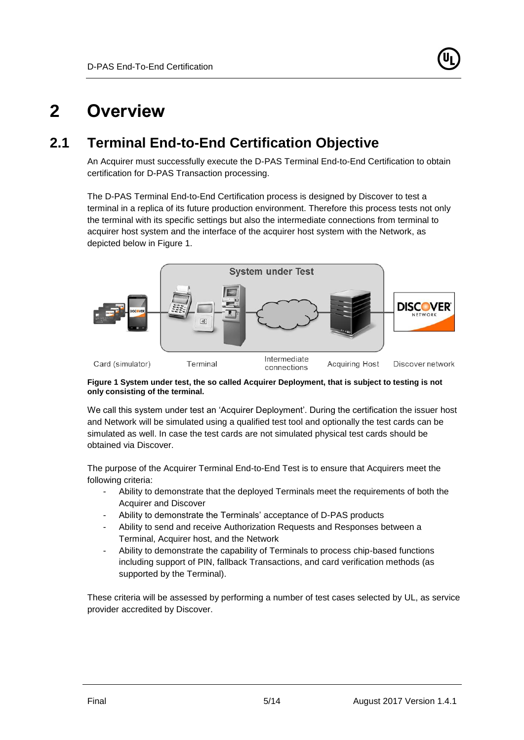

## <span id="page-4-0"></span>**2 Overview**

## **2.1 Terminal End-to-End Certification Objective**

<span id="page-4-1"></span>An Acquirer must successfully execute the D-PAS Terminal End-to-End Certification to obtain certification for D-PAS Transaction processing.

The D-PAS Terminal End-to-End Certification process is designed by Discover to test a terminal in a replica of its future production environment. Therefore this process tests not only the terminal with its specific settings but also the intermediate connections from terminal to acquirer host system and the interface of the acquirer host system with the Network, as depicted below in [Figure 1.](#page-4-3)



#### <span id="page-4-3"></span>**Figure 1 System under test, the so called Acquirer Deployment, that is subject to testing is not only consisting of the terminal.**

We call this system under test an 'Acquirer Deployment'. During the certification the issuer host and Network will be simulated using a qualified test tool and optionally the test cards can be simulated as well. In case the test cards are not simulated physical test cards should be obtained via Discover.

The purpose of the Acquirer Terminal End-to-End Test is to ensure that Acquirers meet the following criteria:

- Ability to demonstrate that the deployed Terminals meet the requirements of both the Acquirer and Discover
- Ability to demonstrate the Terminals' acceptance of D-PAS products
- Ability to send and receive Authorization Requests and Responses between a Terminal, Acquirer host, and the Network
- Ability to demonstrate the capability of Terminals to process chip-based functions including support of PIN, fallback Transactions, and card verification methods (as supported by the Terminal).

<span id="page-4-2"></span>These criteria will be assessed by performing a number of test cases selected by UL, as service provider accredited by Discover.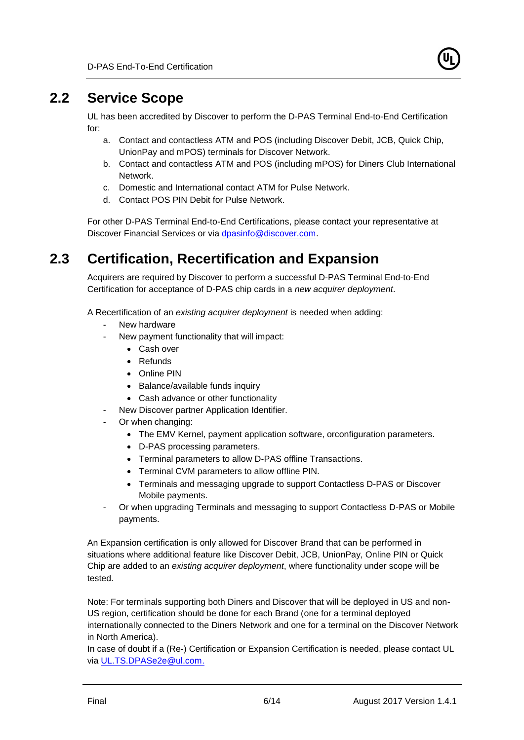

### **2.2 Service Scope**

UL has been accredited by Discover to perform the D-PAS Terminal End-to-End Certification for:

- a. Contact and contactless ATM and POS (including Discover Debit, JCB, Quick Chip, UnionPay and mPOS) terminals for Discover Network.
- b. Contact and contactless ATM and POS (including mPOS) for Diners Club International Network.
- c. Domestic and International contact ATM for Pulse Network.
- d. Contact POS PIN Debit for Pulse Network.

<span id="page-5-0"></span>For other D-PAS Terminal End-to-End Certifications, please contact your representative at Discover Financial Services or via [dpasinfo@discover.com.](mailto:dpasinfo@discover.com)

## **2.3 Certification, Recertification and Expansion**

Acquirers are required by Discover to perform a successful D-PAS Terminal End-to-End Certification for acceptance of D-PAS chip cards in a *new acquirer deployment*.

A Recertification of an *existing acquirer deployment* is needed when adding:

- New hardware
	- New payment functionality that will impact:
		- Cash over
		- Refunds
		- Online PIN
		- Balance/available funds inquiry
		- Cash advance or other functionality
- New Discover partner Application Identifier.
- Or when changing:
	- The EMV Kernel, payment application software, orconfiguration parameters.
	- D-PAS processing parameters.
	- Terminal parameters to allow D-PAS offline Transactions.
	- Terminal CVM parameters to allow offline PIN.
	- Terminals and messaging upgrade to support Contactless D-PAS or Discover Mobile payments.
- Or when upgrading Terminals and messaging to support Contactless D-PAS or Mobile payments.

An Expansion certification is only allowed for Discover Brand that can be performed in situations where additional feature like Discover Debit, JCB, UnionPay, Online PIN or Quick Chip are added to an *existing acquirer deployment*, where functionality under scope will be tested.

Note: For terminals supporting both Diners and Discover that will be deployed in US and non-US region, certification should be done for each Brand (one for a terminal deployed internationally connected to the Diners Network and one for a terminal on the Discover Network in North America).

In case of doubt if a (Re-) Certification or Expansion Certification is needed, please contact UL via [UL.TS.DPASe2e@ul.com.](mailto:UL.TS.DPASe2e@ul.com)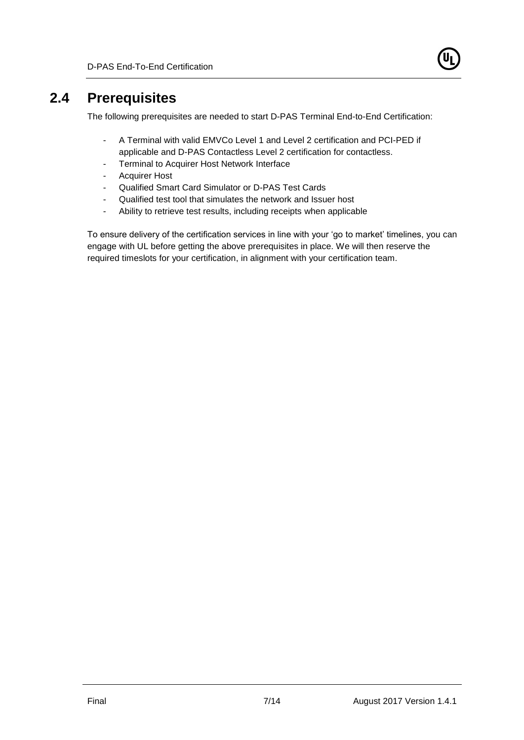

### **2.4 Prerequisites**

<span id="page-6-0"></span>The following prerequisites are needed to start D-PAS Terminal End-to-End Certification:

- A Terminal with valid EMVCo Level 1 and Level 2 certification and PCI-PED if applicable and D-PAS Contactless Level 2 certification for contactless.
- Terminal to Acquirer Host Network Interface
- Acquirer Host
- Qualified Smart Card Simulator or D-PAS Test Cards
- Qualified test tool that simulates the network and Issuer host
- Ability to retrieve test results, including receipts when applicable

To ensure delivery of the certification services in line with your 'go to market' timelines, you can engage with UL before getting the above prerequisites in place. We will then reserve the required timeslots for your certification, in alignment with your certification team.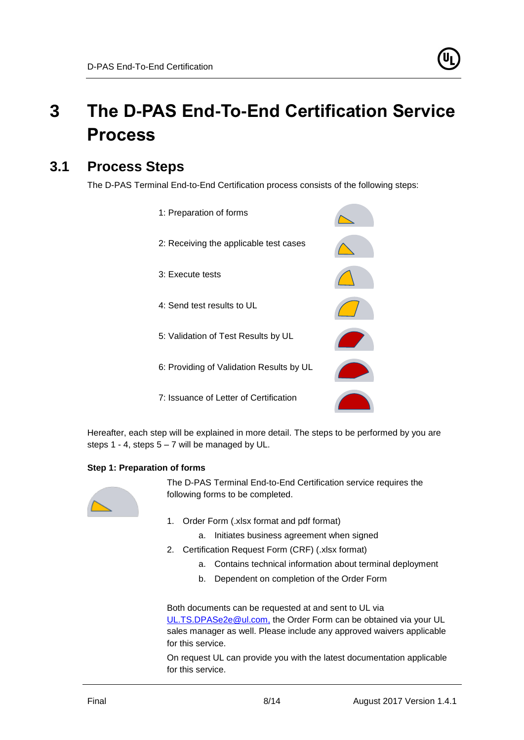# <span id="page-7-0"></span>**3 The D-PAS End-To-End Certification Service Process**

## **3.1 Process Steps**

<span id="page-7-1"></span>The D-PAS Terminal End-to-End Certification process consists of the following steps:



Hereafter, each step will be explained in more detail. The steps to be performed by you are steps 1 - 4, steps  $5 - 7$  will be managed by UL.

#### **Step 1: Preparation of forms**



The D-PAS Terminal End-to-End Certification service requires the following forms to be completed.

- 1. Order Form (.xlsx format and pdf format)
	- a. Initiates business agreement when signed
- 2. Certification Request Form (CRF) (.xlsx format)
	- a. Contains technical information about terminal deployment
	- b. Dependent on completion of the Order Form

Both documents can be requested at and sent to UL via [UL.TS.DPASe2e@ul.com,](mailto:UL.TS.DPASe2e@ul.com) the Order Form can be obtained via your UL sales manager as well. Please include any approved waivers applicable for this service.

On request UL can provide you with the latest documentation applicable for this service.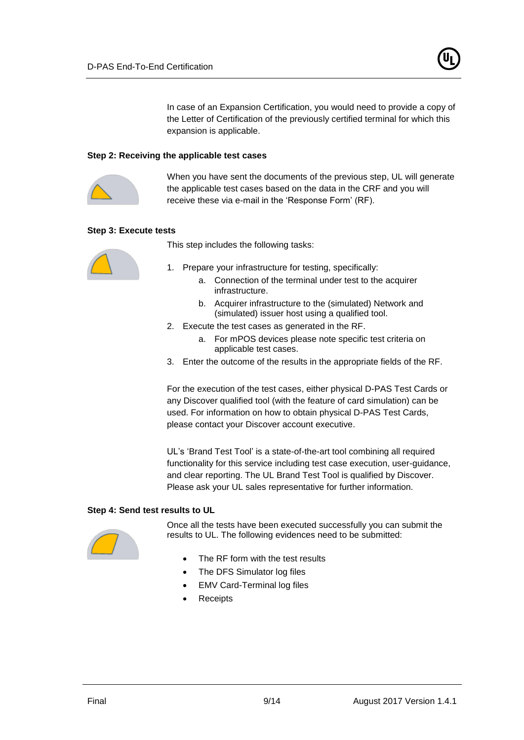

In case of an Expansion Certification, you would need to provide a copy of the Letter of Certification of the previously certified terminal for which this expansion is applicable.

#### **Step 2: Receiving the applicable test cases**



When you have sent the documents of the previous step, UL will generate the applicable test cases based on the data in the CRF and you will receive these via e-mail in the 'Response Form' (RF).

#### **Step 3: Execute tests**



This step includes the following tasks:

- 1. Prepare your infrastructure for testing, specifically:
	- a. Connection of the terminal under test to the acquirer infrastructure.
	- b. Acquirer infrastructure to the (simulated) Network and (simulated) issuer host using a qualified tool.
- 2. Execute the test cases as generated in the RF.
	- a. For mPOS devices please note specific test criteria on applicable test cases.
- 3. Enter the outcome of the results in the appropriate fields of the RF.

For the execution of the test cases, either physical D-PAS Test Cards or any Discover qualified tool (with the feature of card simulation) can be used. For information on how to obtain physical D-PAS Test Cards, please contact your Discover account executive.

UL's 'Brand Test Tool' is a state-of-the-art tool combining all required functionality for this service including test case execution, user-guidance, and clear reporting. The UL Brand Test Tool is qualified by Discover. Please ask your UL sales representative for further information.

#### **Step 4: Send test results to UL**



Once all the tests have been executed successfully you can submit the results to UL. The following evidences need to be submitted:

- The RF form with the test results
- The DFS Simulator log files
- EMV Card-Terminal log files
- **Receipts**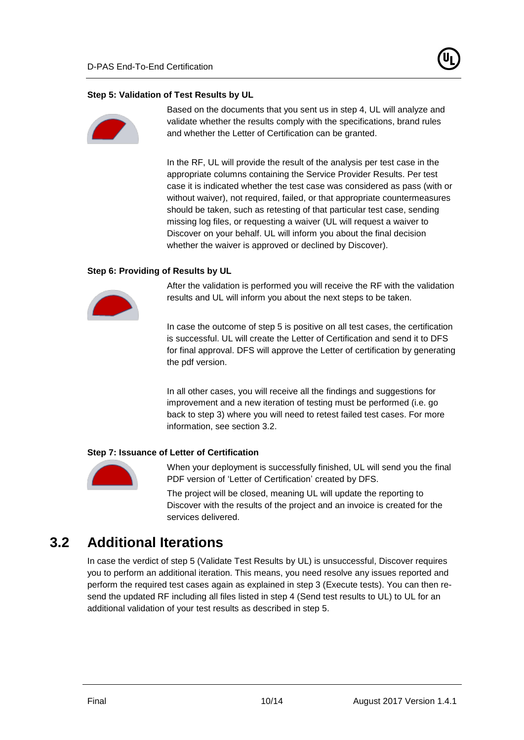#### **Step 5: Validation of Test Results by UL**



Based on the documents that you sent us in step 4, UL will analyze and validate whether the results comply with the specifications, brand rules and whether the Letter of Certification can be granted.

In the RF, UL will provide the result of the analysis per test case in the appropriate columns containing the Service Provider Results. Per test case it is indicated whether the test case was considered as pass (with or without waiver), not required, failed, or that appropriate countermeasures should be taken, such as retesting of that particular test case, sending missing log files, or requesting a waiver (UL will request a waiver to Discover on your behalf. UL will inform you about the final decision whether the waiver is approved or declined by Discover).

#### **Step 6: Providing of Results by UL**



After the validation is performed you will receive the RF with the validation results and UL will inform you about the next steps to be taken.

In case the outcome of step 5 is positive on all test cases, the certification is successful. UL will create the Letter of Certification and send it to DFS for final approval. DFS will approve the Letter of certification by generating the pdf version.

In all other cases, you will receive all the findings and suggestions for improvement and a new iteration of testing must be performed (i.e. go back to step 3) where you will need to retest failed test cases. For more information, see section [3.2.](#page-9-0)

#### **Step 7: Issuance of Letter of Certification**



When your deployment is successfully finished, UL will send you the final PDF version of 'Letter of Certification' created by DFS.

The project will be closed, meaning UL will update the reporting to Discover with the results of the project and an invoice is created for the services delivered.

### **3.2 Additional Iterations**

<span id="page-9-0"></span>In case the verdict of step 5 (Validate Test Results by UL) is unsuccessful, Discover requires you to perform an additional iteration. This means, you need resolve any issues reported and perform the required test cases again as explained in step 3 (Execute tests). You can then resend the updated RF including all files listed in step 4 (Send test results to UL) to UL for an additional validation of your test results as described in step 5.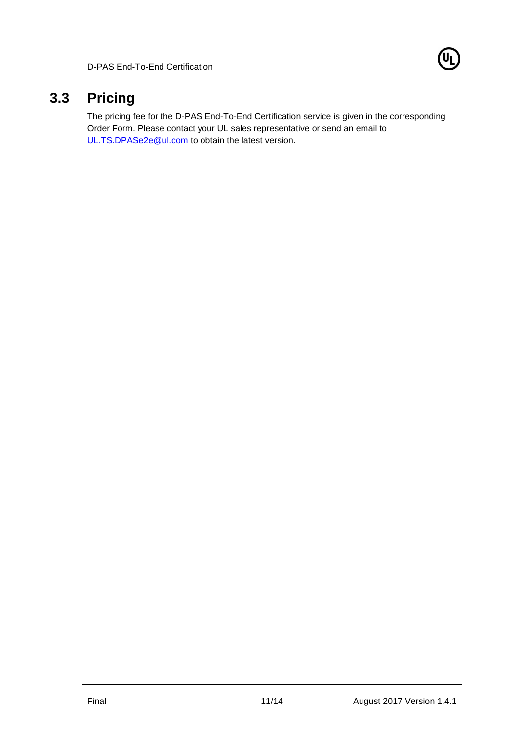

## **3.3 Pricing**

<span id="page-10-0"></span>The pricing fee for the D-PAS End-To-End Certification service is given in the corresponding Order Form. Please contact your UL sales representative or send an email to [UL.TS.DPASe2e@ul.com](mailto:UL.TS.DPASe2e@ul.com) to obtain the latest version.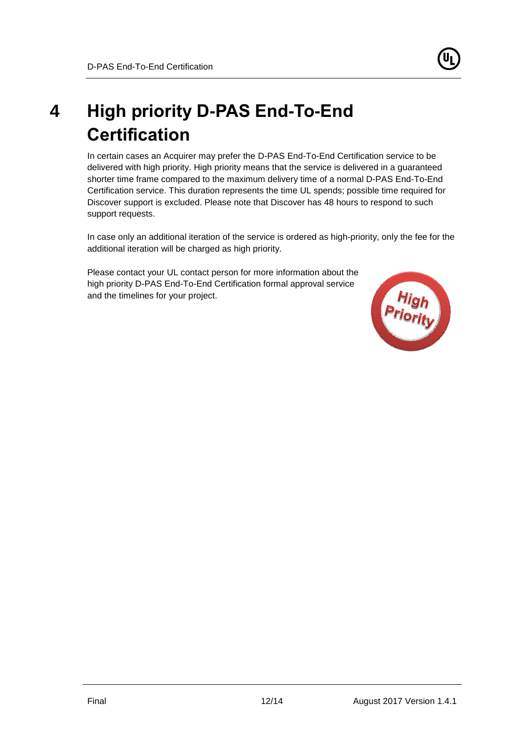<span id="page-11-0"></span>

In certain cases an Acquirer may prefer the D-PAS End-To-End Certification service to be delivered with high priority. High priority means that the service is delivered in a guaranteed shorter time frame compared to the maximum delivery time of a normal D-PAS End-To-End Certification service. This duration represents the time UL spends; possible time required for Discover support is excluded. Please note that Discover has 48 hours to respond to such support requests.

In case only an additional iteration of the service is ordered as high-priority, only the fee for the additional iteration will be charged as high priority.

Please contact your UL contact person for more information about the high priority D-PAS End-To-End Certification formal approval service and the timelines for your project.

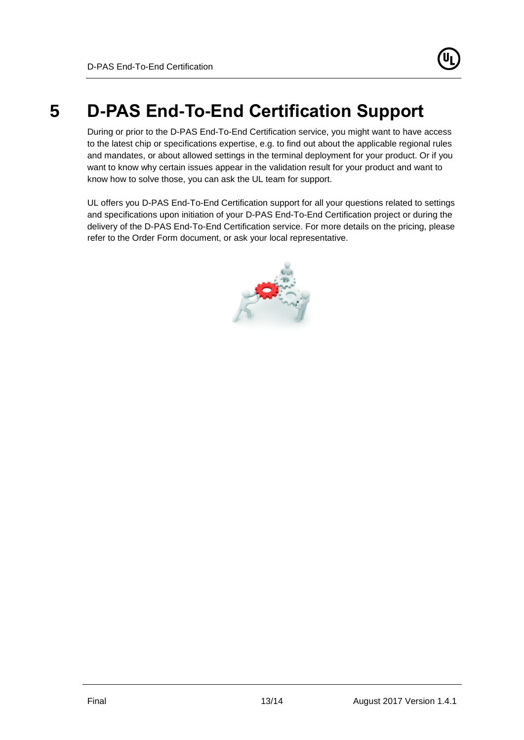# **5 D-PAS End-To-End Certification Support**

<span id="page-12-0"></span>During or prior to the D-PAS End-To-End Certification service, you might want to have access to the latest chip or specifications expertise, e.g. to find out about the applicable regional rules and mandates, or about allowed settings in the terminal deployment for your product. Or if you want to know why certain issues appear in the validation result for your product and want to know how to solve those, you can ask the UL team for support.

UL offers you D-PAS End-To-End Certification support for all your questions related to settings and specifications upon initiation of your D-PAS End-To-End Certification project or during the delivery of the D-PAS End-To-End Certification service. For more details on the pricing, please refer to the Order Form document, or ask your local representative.